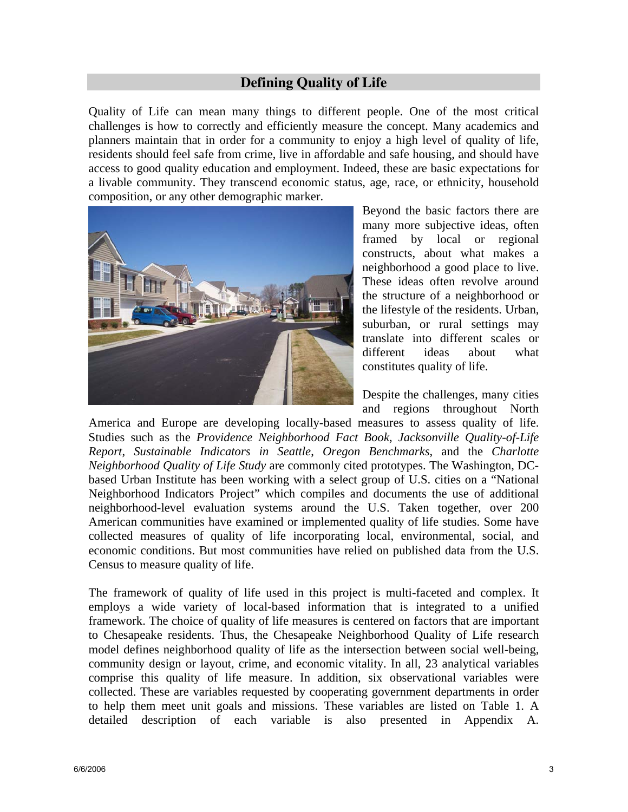### **Defining Quality of Life**

Quality of Life can mean many things to different people. One of the most critical challenges is how to correctly and efficiently measure the concept. Many academics and planners maintain that in order for a community to enjoy a high level of quality of life, residents should feel safe from crime, live in affordable and safe housing, and should have access to good quality education and employment. Indeed, these are basic expectations for a livable community. They transcend economic status, age, race, or ethnicity, household composition, or any other demographic marker.



Beyond the basic factors there are many more subjective ideas, often framed by local or regional constructs, about what makes a neighborhood a good place to live. These ideas often revolve around the structure of a neighborhood or the lifestyle of the residents. Urban, suburban, or rural settings may translate into different scales or different ideas about what constitutes quality of life.

Despite the challenges, many cities and regions throughout North

America and Europe are developing locally-based measures to assess quality of life. Studies such as the *Providence Neighborhood Fact Book*, *Jacksonville Quality-of-Life Report*, *Sustainable Indicators in Seattle*, *Oregon Benchmarks*, and the *Charlotte Neighborhood Quality of Life Study* are commonly cited prototypes. The Washington, DCbased Urban Institute has been working with a select group of U.S. cities on a "National Neighborhood Indicators Project" which compiles and documents the use of additional neighborhood-level evaluation systems around the U.S. Taken together, over 200 American communities have examined or implemented quality of life studies. Some have collected measures of quality of life incorporating local, environmental, social, and economic conditions. But most communities have relied on published data from the U.S. Census to measure quality of life.

The framework of quality of life used in this project is multi-faceted and complex. It employs a wide variety of local-based information that is integrated to a unified framework. The choice of quality of life measures is centered on factors that are important to Chesapeake residents. Thus, the Chesapeake Neighborhood Quality of Life research model defines neighborhood quality of life as the intersection between social well-being, community design or layout, crime, and economic vitality. In all, 23 analytical variables comprise this quality of life measure. In addition, six observational variables were collected. These are variables requested by cooperating government departments in order to help them meet unit goals and missions. These variables are listed on Table 1. A detailed description of each variable is also presented in Appendix A.